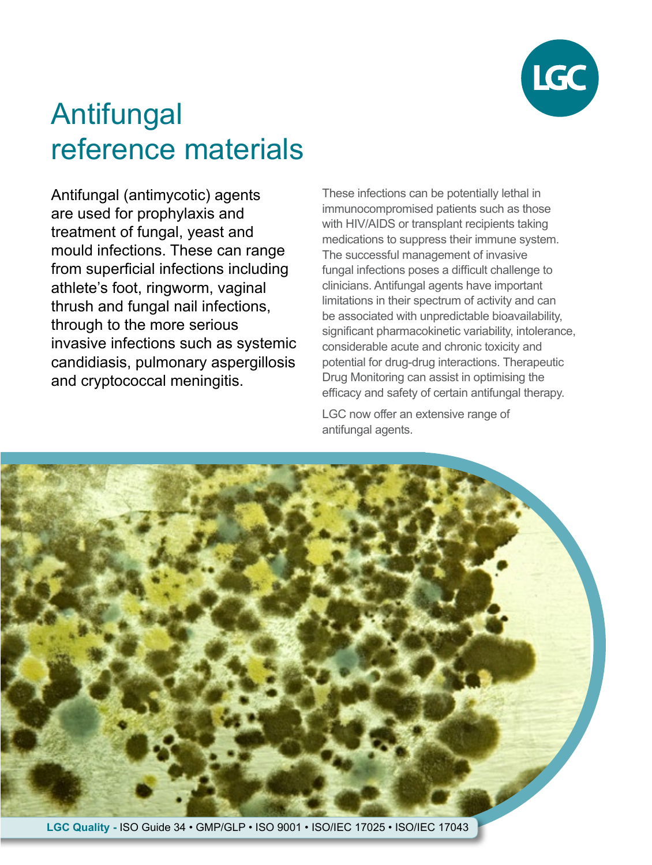

# Antifungal reference materials

Antifungal (antimycotic) agents are used for prophylaxis and treatment of fungal, yeast and mould infections. These can range from superficial infections including athlete's foot, ringworm, vaginal thrush and fungal nail infections, through to the more serious invasive infections such as systemic candidiasis, pulmonary aspergillosis and cryptococcal meningitis.

These infections can be potentially lethal in immunocompromised patients such as those with HIV/AIDS or transplant recipients taking medications to suppress their immune system. The successful management of invasive fungal infections poses a difficult challenge to clinicians. Antifungal agents have important limitations in their spectrum of activity and can be associated with unpredictable bioavailability, significant pharmacokinetic variability, intolerance, considerable acute and chronic toxicity and potential for drug-drug interactions. Therapeutic Drug Monitoring can assist in optimising the efficacy and safety of certain antifungal therapy.

LGC now offer an extensive range of antifungal agents.

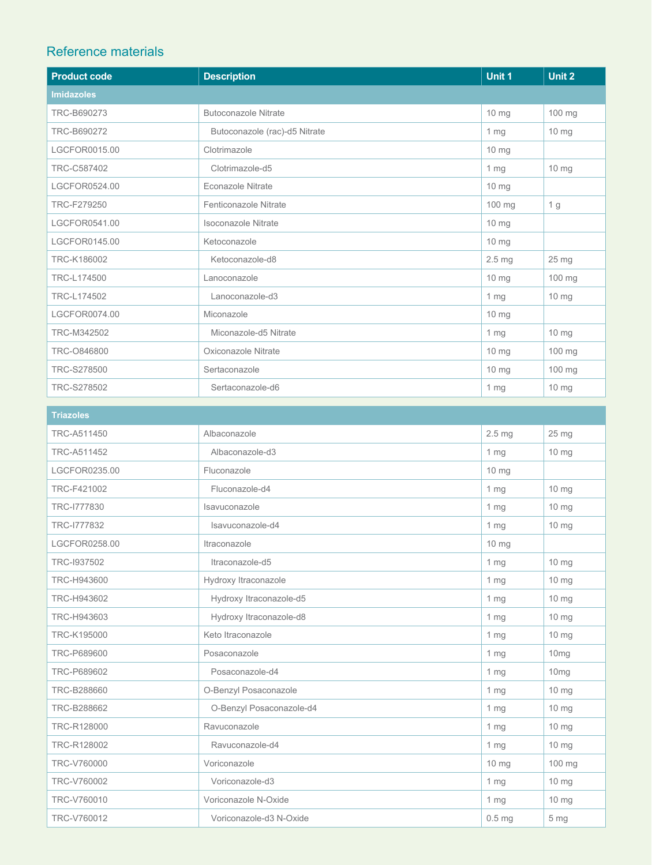## Reference materials

| <b>Product code</b> | <b>Description</b>            | Unit 1            | Unit 2          |
|---------------------|-------------------------------|-------------------|-----------------|
| <b>Imidazoles</b>   |                               |                   |                 |
| TRC-B690273         | <b>Butoconazole Nitrate</b>   | $10 \text{ mg}$   | 100 mg          |
| TRC-B690272         | Butoconazole (rac)-d5 Nitrate | 1 <sub>mg</sub>   | 10 mg           |
| LGCFOR0015.00       | Clotrimazole                  | 10 mg             |                 |
| TRC-C587402         | Clotrimazole-d5               | 1 <sub>mg</sub>   | 10 mg           |
| LGCFOR0524.00       | <b>Econazole Nitrate</b>      | 10 mg             |                 |
| TRC-F279250         | Fenticonazole Nitrate         | 100 mg            | 1 g             |
| LGCFOR0541.00       | Isoconazole Nitrate           | 10 mg             |                 |
| LGCFOR0145.00       | Ketoconazole                  | $10 \text{ mg}$   |                 |
| TRC-K186002         | Ketoconazole-d8               | 2.5 <sub>mg</sub> | 25 mg           |
| TRC-L174500         | Lanoconazole                  | $10 \text{ mg}$   | 100 mg          |
| TRC-L174502         | Lanoconazole-d3               | 1 <sub>mg</sub>   | $10 \text{ mg}$ |
| LGCFOR0074.00       | Miconazole                    | 10 mg             |                 |
| TRC-M342502         | Miconazole-d5 Nitrate         | 1 <sub>mg</sub>   | $10 \text{ mg}$ |
| TRC-0846800         | Oxiconazole Nitrate           | 10 mg             | 100 mg          |
| TRC-S278500         | Sertaconazole                 | 10 mg             | 100 mg          |
| TRC-S278502         | Sertaconazole-d6              | 1 <sub>mg</sub>   | $10 \text{ mg}$ |

| <b>Triazoles</b> |                          |                   |                  |
|------------------|--------------------------|-------------------|------------------|
| TRC-A511450      | Albaconazole             | 2.5 <sub>mg</sub> | 25 mg            |
| TRC-A511452      | Albaconazole-d3          | 1 <sub>mg</sub>   | $10 \text{ mg}$  |
| LGCFOR0235.00    | Fluconazole              | 10 mg             |                  |
| TRC-F421002      | Fluconazole-d4           | 1 <sub>mg</sub>   | 10 mg            |
| TRC-1777830      | Isavuconazole            | 1 <sub>mg</sub>   | $10 \, mg$       |
| TRC-1777832      | Isavuconazole-d4         | 1 <sub>mg</sub>   | 10 mg            |
| LGCFOR0258.00    | Itraconazole             | 10 mg             |                  |
| TRC-1937502      | Itraconazole-d5          | 1 <sub>mg</sub>   | $10 \text{ mg}$  |
| TRC-H943600      | Hydroxy Itraconazole     | 1 <sub>mg</sub>   | $10 \text{ mg}$  |
| TRC-H943602      | Hydroxy Itraconazole-d5  | 1 <sub>mg</sub>   | 10 mg            |
| TRC-H943603      | Hydroxy Itraconazole-d8  | 1 <sub>mg</sub>   | $10 \text{ mg}$  |
| TRC-K195000      | Keto Itraconazole        | 1 <sub>mg</sub>   | 10 mg            |
| TRC-P689600      | Posaconazole             | 1 <sub>mg</sub>   | 10 <sub>mg</sub> |
| TRC-P689602      | Posaconazole-d4          | 1 <sub>mg</sub>   | 10 <sub>mq</sub> |
| TRC-B288660      | O-Benzyl Posaconazole    | 1 <sub>mg</sub>   | 10 mg            |
| TRC-B288662      | O-Benzyl Posaconazole-d4 | 1 <sub>mg</sub>   | $10 \text{ mg}$  |
| TRC-R128000      | Ravuconazole             | 1 <sub>mg</sub>   | 10 mg            |
| TRC-R128002      | Ravuconazole-d4          | 1 <sub>mg</sub>   | $10 \text{ mg}$  |
| TRC-V760000      | Voriconazole             | 10 <sub>mg</sub>  | 100 mg           |
| TRC-V760002      | Voriconazole-d3          | 1 <sub>mg</sub>   | $10 \, mg$       |
| TRC-V760010      | Voriconazole N-Oxide     | 1 <sub>mg</sub>   | 10 mg            |
| TRC-V760012      | Voriconazole-d3 N-Oxide  | 0.5 <sub>mg</sub> | 5 mg             |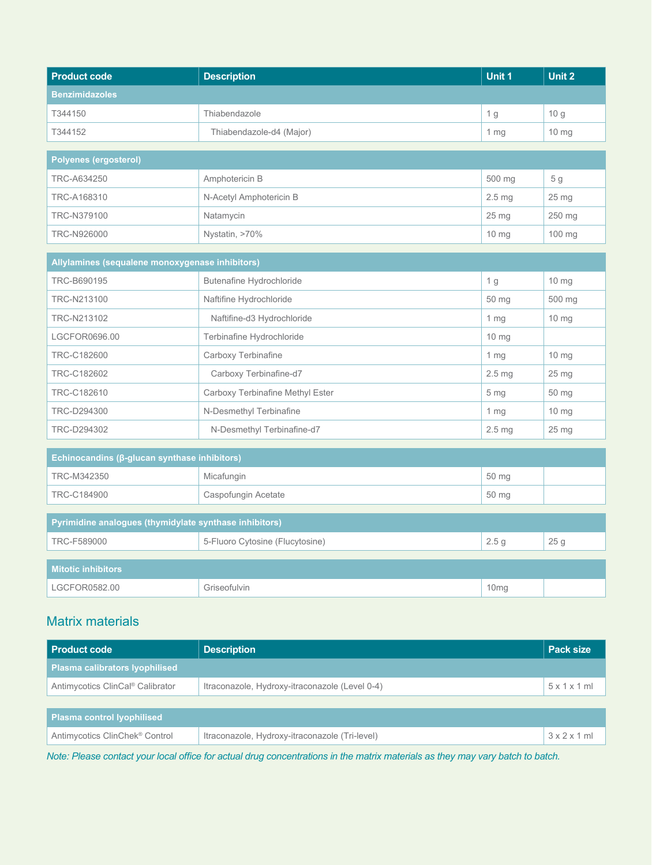| <b>Product code</b>                                    | <b>Description</b>               | Unit 1            | <b>Unit 2</b>    |
|--------------------------------------------------------|----------------------------------|-------------------|------------------|
| <b>Benzimidazoles</b>                                  |                                  |                   |                  |
| T344150                                                | Thiabendazole                    | 1 <sub>g</sub>    | 10 <sub>g</sub>  |
| T344152                                                | Thiabendazole-d4 (Major)         | 1 <sub>mg</sub>   | $10 \text{ mg}$  |
| Polyenes (ergosterol)                                  |                                  |                   |                  |
| TRC-A634250                                            | Amphotericin B                   | 500 mg            | 5 <sub>g</sub>   |
| TRC-A168310                                            | N-Acetyl Amphotericin B          | 2.5 mg            | 25 mg            |
| TRC-N379100                                            | Natamycin                        | 25 <sub>mg</sub>  | 250 mg           |
| TRC-N926000                                            | Nystatin, >70%                   | $10 \text{ mg}$   | 100 mg           |
| Allylamines (sequalene monoxygenase inhibitors)        |                                  |                   |                  |
|                                                        |                                  |                   |                  |
| TRC-B690195                                            | Butenafine Hydrochloride         | 1 <sub>g</sub>    | $10 \text{ mg}$  |
| TRC-N213100                                            | Naftifine Hydrochloride          | 50 mg             | 500 mg           |
| TRC-N213102                                            | Naftifine-d3 Hydrochloride       | 1 <sub>mg</sub>   | $10 \, mg$       |
| LGCFOR0696.00                                          | Terbinafine Hydrochloride        | 10 mg             |                  |
| TRC-C182600                                            | Carboxy Terbinafine              | 1 <sub>mg</sub>   | $10 \text{ mg}$  |
| TRC-C182602                                            | Carboxy Terbinafine-d7           | 2.5 <sub>mg</sub> | $25 \mathrm{mg}$ |
| TRC-C182610                                            | Carboxy Terbinafine Methyl Ester | 5 <sub>mg</sub>   | 50 mg            |
| TRC-D294300                                            | N-Desmethyl Terbinafine          | 1 <sub>mg</sub>   | 10 mg            |
| TRC-D294302                                            | N-Desmethyl Terbinafine-d7       | 2.5 <sub>mg</sub> | 25 <sub>mg</sub> |
| Echinocandins (ß-glucan synthase inhibitors)           |                                  |                   |                  |
| TRC-M342350                                            | Micafungin                       | 50 mg             |                  |
| TRC-C184900                                            | Caspofungin Acetate              | 50 mg             |                  |
|                                                        |                                  |                   |                  |
| Pyrimidine analogues (thymidylate synthase inhibitors) |                                  |                   |                  |
| TRC-F589000                                            | 5-Fluoro Cytosine (Flucytosine)  | 2.5 <sub>g</sub>  | 25 <sub>g</sub>  |
| <b>Mitotic inhibitors</b>                              |                                  |                   |                  |
| LGCFOR0582.00                                          | Griseofulvin                     | 10mg              |                  |

# Matrix materials

| <b>Product code</b>                          | <b>Description</b>                             | Pack size |
|----------------------------------------------|------------------------------------------------|-----------|
| Plasma calibrators lyophilised               |                                                |           |
| Antimycotics ClinCal <sup>®</sup> Calibrator | Itraconazole, Hydroxy-itraconazole (Level 0-4) | 5x1x1ml   |
|                                              |                                                |           |
| <b>Plasma control lyophilised</b>            |                                                |           |
| Antimycotics ClinChek <sup>®</sup> Control   | Itraconazole, Hydroxy-itraconazole (Tri-level) | 3x2x1ml   |

*Note: Please contact your local office for actual drug concentrations in the matrix materials as they may vary batch to batch.*